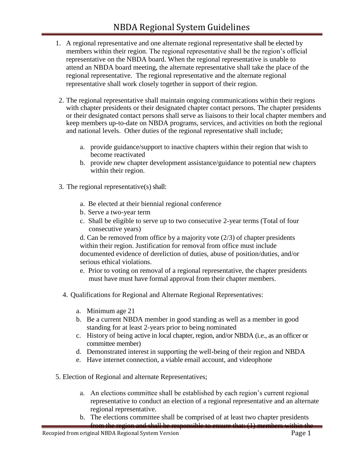- 1. A regional representative and one alternate regional representative shall be elected by members within their region. The regional representative shall be the region's official representative on the NBDA board. When the regional representative is unable to attend an NBDA board meeting, the alternate representative shall take the place of the regional representative. The regional representative and the alternate regional representative shall work closely together in support of their region.
- 2. The regional representative shall maintain ongoing communications within their regions with chapter presidents or their designated chapter contact persons. The chapter presidents or their designated contact persons shall serve as liaisons to their local chapter members and keep members up-to-date on NBDA programs, services, and activities on both the regional and national levels. Other duties of the regional representative shall include;
	- a. provide guidance/support to inactive chapters within their region that wish to become reactivated
	- b. provide new chapter development assistance/guidance to potential new chapters within their region.
- 3. The regional representative(s) shall:
	- a. Be elected at their biennial regional conference
	- b. Serve a two-year term
	- c. Shall be eligible to serve up to two consecutive 2-year terms (Total of four consecutive years)

d. Can be removed from office by a majority vote (2/3) of chapter presidents within their region. Justification for removal from office must include documented evidence of dereliction of duties, abuse of position/duties, and/or serious ethical violations.

- e. Prior to voting on removal of a regional representative, the chapter presidents must have must have formal approval from their chapter members.
- 4. Qualifications for Regional and Alternate Regional Representatives:
	- a. Minimum age 21
	- b. Be a current NBDA member in good standing as well as a member in good standing for at least 2-years prior to being nominated
	- c. History of being active in local chapter, region, and/or NBDA (i.e., as an officer or committee member)
	- d. Demonstrated interest in supporting the well-being of their region and NBDA
	- e. Have internet connection, a viable email account, and videophone
- 5. Election of Regional and alternate Representatives;
	- a. An elections committee shall be established by each region's current regional representative to conduct an election of a regional representative and an alternate regional representative.
	- b. The elections committee shall be comprised of at least two chapter presidents from the region and shall be responsible to ensure that: (1) members within the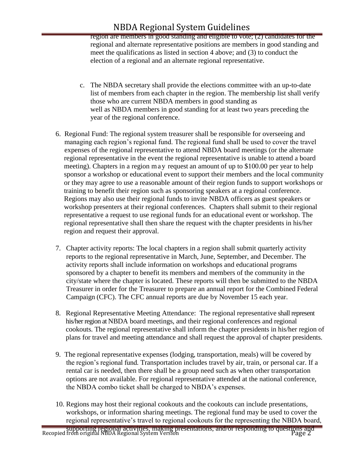# NBDA Regional System Guidelines

region are members in good standing and eligible to vote; (2) candidates for the regional and alternate representative positions are members in good standing and meet the qualifications as listed in section 4 above; and (3) to conduct the election of a regional and an alternate regional representative.

- c. The NBDA secretary shall provide the elections committee with an up-to-date list of members from each chapter in the region. The membership list shall verify those who are current NBDA members in good standing as well as NBDA members in good standing for at least two years preceding the year of the regional conference.
- 6. Regional Fund: The regional system treasurer shall be responsible for overseeing and managing each region's regional fund. The regional fund shall be used to cover the travel expenses of the regional representative to attend NBDA board meetings (or the alternate regional representative in the event the regional representative is unable to attend a board meeting). Chapters in a region ma y request an amount of up to \$100.00 per year to help sponsor a workshop or educational event to support their members and the local community or they may agree to use a reasonable amount of their region funds to support workshops or training to benefit their region such as sponsoring speakers at a regional conference. Regions may also use their regional funds to invite NBDA officers as guest speakers or workshop presenters at their regional conferences. Chapters shall submit to their regional representative a request to use regional funds for an educational event or workshop. The regional representative shall then share the request with the chapter presidents in his/her region and request their approval.
- 7. Chapter activity reports: The local chapters in a region shall submit quarterly activity reports to the regional representative in March, June, September, and December. The activity reports shall include information on workshops and educational programs sponsored by a chapter to benefit its members and members of the community in the city/state where the chapter is located. These reports will then be submitted to the NBDA Treasurer in order for the Treasurer to prepare an annual report for the Combined Federal Campaign (CFC). The CFC annual reports are due by November 15 each year.
- 8. Regional Representative Meeting Attendance: The regional representative shall represent his/her region at NBDA board meetings, and their regional conferences and regional cookouts. The regional representative shall inform the chapter presidents in his/her region of plans for travel and meeting attendance and shall request the approval of chapter presidents.
- 9. The regional representative expenses (lodging, transportation, meals) will be covered by the region's regional fund. Transportation includes travel by air, train, or personal car. If a rental car is needed, then there shall be a group need such as when other transportation options are not available. For regional representative attended at the national conference, the NBDA combo ticket shall be charged to NBDA's expenses.
- 10. Regions may host their regional cookouts and the cookouts can include presentations, workshops, or information sharing meetings. The regional fund may be used to cover the regional representative's travel to regional cookouts for the representing the NBDA board,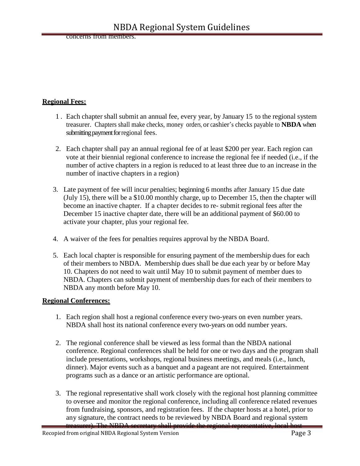concerns from members.

### **Regional Fees:**

- 1 . Each chapter shall submit an annual fee, every year, by January 15 to the regional system treasurer. Chapters shall make checks, money orders, or cashier's checks payable to **NBDA** when submitting payment for regional fees.
- 2. Each chapter shall pay an annual regional fee of at least \$200 per year. Each region can vote at their biennial regional conference to increase the regional fee if needed (i.e., if the number of active chapters in a region is reduced to at least three due to an increase in the number of inactive chapters in a region)
- 3. Late payment of fee will incur penalties; beginning 6 months after January 15 due date (July 15), there will be a \$10.00 monthly charge, up to December 15, then the chapter will become an inactive chapter. If a chapter decides to re- submit regional fees after the December 15 inactive chapter date, there will be an additional payment of \$60.00 to activate your chapter, plus your regional fee.
- 4. A waiver of the fees for penalties requires approval by the NBDA Board.
- 5. Each local chapter is responsible for ensuring payment of the membership dues for each of their members to NBDA. Membership dues shall be due each year by or before May 10. Chapters do not need to wait until May 10 to submit payment of member dues to NBDA. Chapters can submit payment of membership dues for each of their members to NBDA any month before May 10.

#### **Regional Conferences:**

- 1. Each region shall host a regional conference every two-years on even number years. NBDA shall host its national conference every two-years on odd number years.
- 2. The regional conference shall be viewed as less formal than the NBDA national conference. Regional conferences shall be held for one or two days and the program shall include presentations, workshops, regional business meetings, and meals (i.e., lunch, dinner). Major events such as a banquet and a pageant are not required. Entertainment programs such as a dance or an artistic performance are optional.
- 3. The regional representative shall work closely with the regional host planning committee to oversee and monitor the regional conference, including all conference related revenues from fundraising, sponsors, and registration fees. If the chapter hosts at a hotel, prior to any signature, the contract needs to be reviewed by NBDA Board and regional system treasurer). The NBDA secretary shall provide the regional representative, local host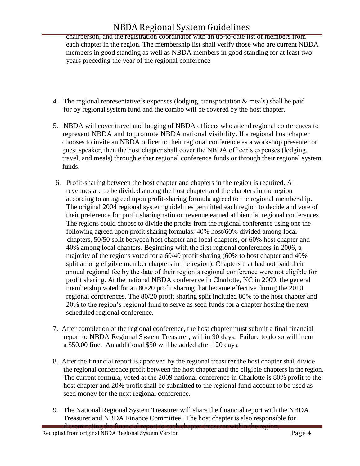## NBDA Regional System Guidelines

chairperson, and the registration coordinator with an up-to-date list of members from each chapter in the region. The membership list shall verify those who are current NBDA members in good standing as well as NBDA members in good standing for at least two years preceding the year of the regional conference

- 4. The regional representative's expenses (lodging, transportation & meals) shall be paid for by regional system fund and the combo will be covered by the host chapter.
- 5. NBDA will cover travel and lodging of NBDA officers who attend regional conferences to represent NBDA and to promote NBDA national visibility. If a regional host chapter chooses to invite an NBDA officer to their regional conference as a workshop presenter or guest speaker, then the host chapter shall cover the NBDA officer's expenses (lodging, travel, and meals) through either regional conference funds or through their regional system funds.
- 6. Profit-sharing between the host chapter and chapters in the region is required. All revenues are to be divided among the host chapter and the chapters in the region according to an agreed upon profit-sharing formula agreed to the regional membership. The original 2004 regional system guidelines permitted each region to decide and vote of their preference for profit sharing ratio on revenue earned at biennial regional conferences The regions could choose to divide the profits from the regional conference using one the following agreed upon profit sharing formulas: 40% host/60% divided among local chapters, 50/50 split between host chapter and local chapters, or 60% host chapter and 40% among local chapters. Beginning with the first regional conferences in 2006, a majority of the regions voted for a 60/40 profit sharing (60% to host chapter and 40% split among eligible member chapters in the region). Chapters that had not paid their annual regional fee by the date of their region's regional conference were not eligible for profit sharing. At the national NBDA conference in Charlotte, NC in 2009, the general membership voted for an 80/20 profit sharing that became effective during the 2010 regional conferences. The 80/20 profit sharing split included 80% to the host chapter and 20% to the region's regional fund to serve as seed funds for a chapter hosting the next scheduled regional conference.
- 7. After completion of the regional conference, the host chapter must submit a final financial report to NBDA Regional System Treasurer, within 90 days. Failure to do so will incur a \$50.00 fine. An additional \$50 will be added after 120 days.
- 8. After the financial report is approved by the regional treasurer the host chapter shall divide the regional conference profit between the host chapter and the eligible chapters in the region. The current formula, voted at the 2009 national conference in Charlotte is 80% profit to the host chapter and 20% profit shall be submitted to the regional fund account to be used as seed money for the next regional conference.
- 9. The National Regional System Treasurer will share the financial report with the NBDA Treasurer and NBDA Finance Committee. The host chapter is also responsible for disseminating the financial report to each chapter treasurer within the region.

Recopied from original NBDA Regional System Version Page 4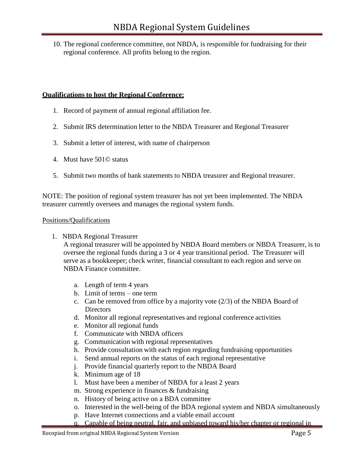10. The regional conference committee, not NBDA, is responsible for fundraising for their regional conference. All profits belong to the region.

### **Qualifications to host the Regional Conference:**

- 1. Record of payment of annual regional affiliation fee.
- 2. Submit IRS determination letter to the NBDA Treasurer and Regional Treasurer
- 3. Submit a letter of interest, with name of chairperson
- 4. Must have 501© status
- 5. Submit two months of bank statements to NBDA treasurer and Regional treasurer.

NOTE: The position of regional system treasurer has not yet been implemented. The NBDA treasurer currently oversees and manages the regional system funds.

#### Positions/Qualifications

1. NBDA Regional Treasurer

A regional treasurer will be appointed by NBDA Board members or NBDA Treasurer, is to oversee the regional funds during a 3 or 4 year transitional period. The Treasurer will serve as a bookkeeper; check writer, financial consultant to each region and serve on NBDA Finance committee.

- a. Length of term 4 years
- b. Limit of terms one term
- c. Can be removed from office by a majority vote (2/3) of the NBDA Board of Directors
- d. Monitor all regional representatives and regional conference activities
- e. Monitor all regional funds
- f. Communicate with NBDA officers
- g. Communication with regional representatives
- h. Provide consultation with each region regarding fundraising opportunities
- i. Send annual reports on the status of each regional representative
- j. Provide financial quarterly report to the NBDA Board
- k. Minimum age of 18
- l. Must have been a member of NBDA for a least 2 years
- m. Strong experience in finances & fundraising
- n. History of being active on a BDA committee
- o. Interested in the well-being of the BDA regional system and NBDA simultaneously
- p. Have Internet connections and a viable email account
- q. Capable of being neutral, fair, and unbiased toward his/her chapter or regional in